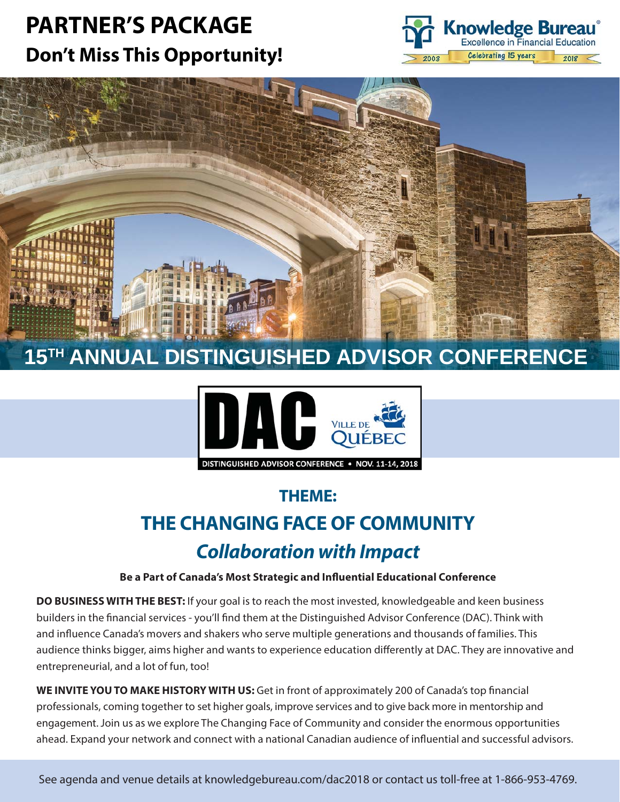## **PARTNER'S PACKAGE Don't Miss This Opportunity!**







## **THEME: THE CHANGING FACE OF COMMUNITY Collaboration with Impact**

#### **Be a Part of Canada's Most Strategic and Influential Educational Conference**

**DO BUSINESS WITH THE BEST:** If your goal is to reach the most invested, knowledgeable and keen business builders in the financial services - you'll find them at the Distinguished Advisor Conference (DAC). Think with and influence Canada's movers and shakers who serve multiple generations and thousands of families. This audience thinks bigger, aims higher and wants to experience education differently at DAC. They are innovative and entrepreneurial, and a lot of fun, too!

**WE INVITE YOU TO MAKE HISTORY WITH US:** Get in front of approximately 200 of Canada's top financial professionals, coming together to set higher goals, improve services and to give back more in mentorship and engagement. Join us as we explore The Changing Face of Community and consider the enormous opportunities ahead. Expand your network and connect with a national Canadian audience of influential and successful advisors.

See agenda and venue details at knowledgebureau.com/dac2018 or contact us toll-free at 1-866-953-4769.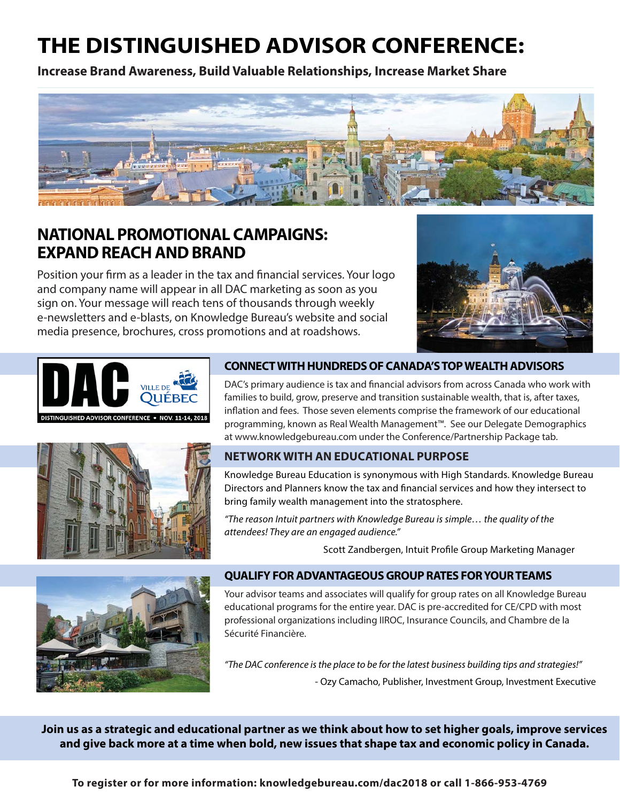## **THE DISTINGUISHED ADVISOR CONFERENCE:**

**Increase Brand Awareness, Build Valuable Relationships, Increase Market Share**



## **NATIONAL PROMOTIONAL CAMPAIGNS: EXPAND REACH AND BRAND**

Position your firm as a leader in the tax and financial services. Your logo and company name will appear in all DAC marketing as soon as you sign on. Your message will reach tens of thousands through weekly e-newsletters and e-blasts, on Knowledge Bureau's website and social media presence, brochures, cross promotions and at roadshows.







#### **CONNECT WITH HUNDREDS OF CANADA'S TOP WEALTH ADVISORS**

DAC's primary audience is tax and financial advisors from across Canada who work with families to build, grow, preserve and transition sustainable wealth, that is, after taxes, inflation and fees. Those seven elements comprise the framework of our educational programming, known as Real Wealth Management™. See our Delegate Demographics at www.knowledgebureau.com under the Conference/Partnership Package tab.

#### **NETWORK WITH AN EDUCATIONAL PURPOSE**

Knowledge Bureau Education is synonymous with High Standards. Knowledge Bureau Directors and Planners know the tax and financial services and how they intersect to bring family wealth management into the stratosphere.

"The reason Intuit partners with Knowledge Bureau is simple… the quality of the attendees! They are an engaged audience."

Scott Zandbergen, Intuit Profile Group Marketing Manager

#### **QUALIFY FOR ADVANTAGEOUS GROUP RATES FOR YOUR TEAMS**

Your advisor teams and associates will qualify for group rates on all Knowledge Bureau educational programs for the entire year. DAC is pre-accredited for CE/CPD with most professional organizations including IIROC, Insurance Councils, and Chambre de la Sécurité Financière.

"The DAC conference is the place to be for the latest business building tips and strategies!" - Ozy Camacho, Publisher, Investment Group, Investment Executive

**Join us as a strategic and educational partner as we think about how to set higher goals, improve services and give back more at a time when bold, new issues that shape tax and economic policy in Canada.**

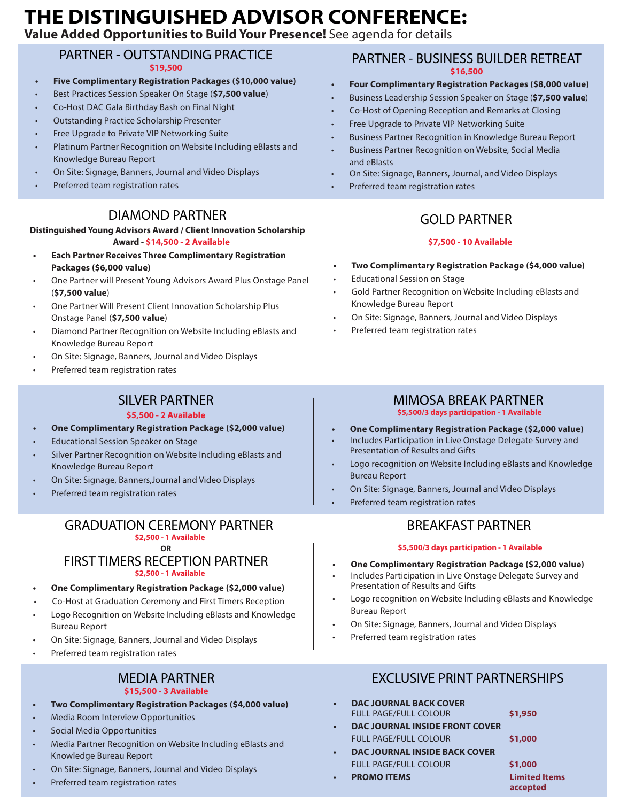## **THE DISTINGUISHED ADVISOR CONFERENCE:**

**Value Added Opportunities to Build Your Presence!** See agenda for details

### PARTNER - OUTSTANDING PRACTICE

**\$19,500**

- **Five Complimentary Registration Packages (\$10,000 value)**
	- Best Practices Session Speaker On Stage (**\$7,500 value**)
- Co-Host DAC Gala Birthday Bash on Final Night
- Outstanding Practice Scholarship Presenter
- Free Upgrade to Private VIP Networking Suite
- Platinum Partner Recognition on Website Including eBlasts and Knowledge Bureau Report
- On Site: Signage, Banners, Journal and Video Displays
- Preferred team registration rates

### DIAMOND PARTNER

#### **Distinguished Young Advisors Award / Client Innovation Scholarship Award - \$14,500 - 2 Available**

- **Each Partner Receives Three Complimentary Registration Packages (\$6,000 value)**
- One Partner will Present Young Advisors Award Plus Onstage Panel (**\$7,500 value**)
- One Partner Will Present Client Innovation Scholarship Plus Onstage Panel (**\$7,500 value**)
- Diamond Partner Recognition on Website Including eBlasts and Knowledge Bureau Report
- On Site: Signage, Banners, Journal and Video Displays
- Preferred team registration rates

#### SILVER PARTNER

#### **\$5,500 - 2 Available**

- **One Complimentary Registration Package (\$2,000 value)**
- Educational Session Speaker on Stage
- Silver Partner Recognition on Website Including eBlasts and Knowledge Bureau Report
- On Site: Signage, Banners,Journal and Video Displays
- Preferred team registration rates

#### GRADUATION CEREMONY PARTNER **\$2,500 - 1 Available**

#### **OR**

#### FIRST TIMERS RECEPTION PARTNER **\$2,500 - 1 Available**

- **One Complimentary Registration Package (\$2,000 value)**
- Co-Host at Graduation Ceremony and First Timers Reception
- Logo Recognition on Website Including eBlasts and Knowledge Bureau Report
- On Site: Signage, Banners, Journal and Video Displays
- Preferred team registration rates

#### MEDIA PARTNER **\$15,500 - 3 Available**

- **Two Complimentary Registration Packages (\$4,000 value)**
- Media Room Interview Opportunities
- Social Media Opportunities
- Media Partner Recognition on Website Including eBlasts and Knowledge Bureau Report
- On Site: Signage, Banners, Journal and Video Displays
- Preferred team registration rates

#### PARTNER - BUSINESS BUILDER RETREAT **\$16,500**

- **Four Complimentary Registration Packages (\$8,000 value)**
- Business Leadership Session Speaker on Stage (**\$7,500 value**)
- Co-Host of Opening Reception and Remarks at Closing
- Free Upgrade to Private VIP Networking Suite
- Business Partner Recognition in Knowledge Bureau Report
- Business Partner Recognition on Website, Social Media and eBlasts
- On Site: Signage, Banners, Journal, and Video Displays
- Preferred team registration rates

## GOLD PARTNER

#### **\$7,500 - 10 Available**

- **Two Complimentary Registration Package (\$4,000 value)**
- Educational Session on Stage
- Gold Partner Recognition on Website Including eBlasts and Knowledge Bureau Report
- On Site: Signage, Banners, Journal and Video Displays
- Preferred team registration rates

## MIMOSA BREAK PARTNER

**\$5,500/3 days participation - 1 Available**

- **One Complimentary Registration Package (\$2,000 value)**
- Includes Participation in Live Onstage Delegate Survey and Presentation of Results and Gifts
- Logo recognition on Website Including eBlasts and Knowledge Bureau Report
- On Site: Signage, Banners, Journal and Video Displays
	- Preferred team registration rates

### BREAKFAST PARTNER

#### **\$5,500/3 days participation - 1 Available**

- **One Complimentary Registration Package (\$2,000 value)**
- Includes Participation in Live Onstage Delegate Survey and Presentation of Results and Gifts
- Logo recognition on Website Including eBlasts and Knowledge Bureau Report
- On Site: Signage, Banners, Journal and Video Displays
- Preferred team registration rates

### EXCLUSIVE PRINT PARTNERSHIPS

- **DAC JOURNAL BACK COVER** FULL PAGE/FULL COLOUR **\$1,950**
	- **DAC JOURNAL INSIDE FRONT COVER**  FULL PAGE/FULL COLOUR **\$1,000**

**• DAC JOURNAL INSIDE BACK COVER** FULL PAGE/FULL COLOUR **\$1,000**

**PROMO ITEMS** *CONDITION*  **accepted**